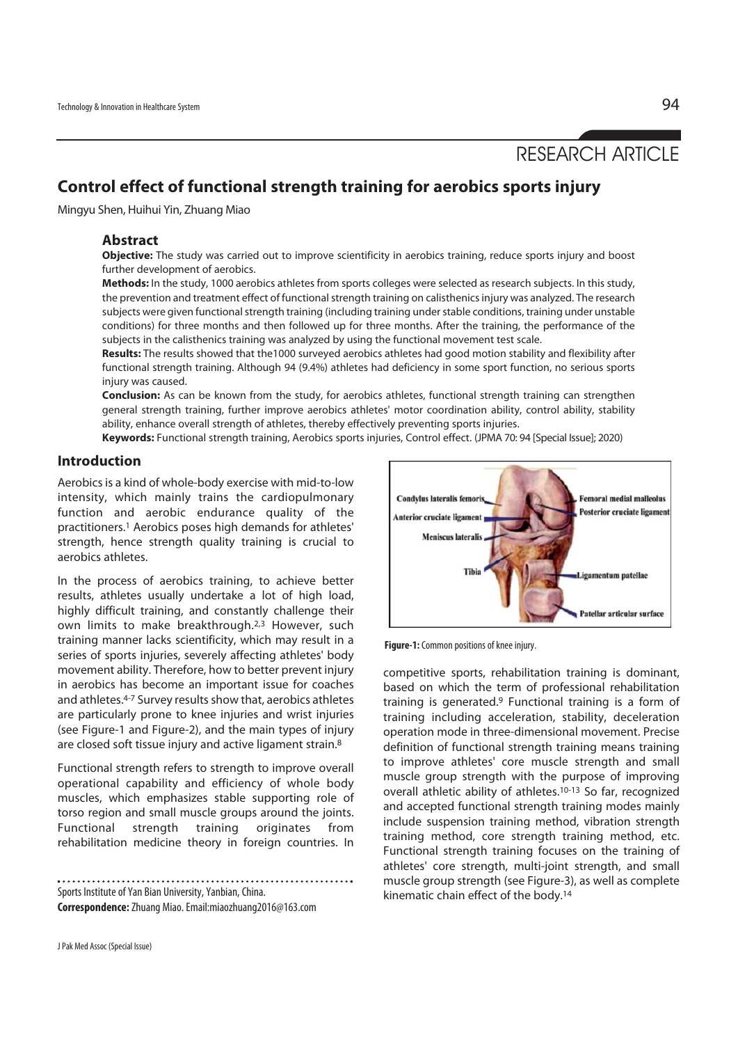# RESEARCH ARTICLE

# **Control effect of functional strength training for aerobics sports injury**

Mingyu Shen, Huihui Yin, Zhuang Miao

### **Abstract**

**Objective:** The study was carried out to improve scientificity in aerobics training, reduce sports injury and boost further development of aerobics.

**Methods:** In the study, 1000 aerobics athletes from sports colleges were selected as research subjects. In this study, the prevention and treatment effect of functional strength training on calisthenics injury was analyzed. The research subjects were given functional strength training (including training under stable conditions, training under unstable conditions) for three months and then followed up for three months. After the training, the performance of the subjects in the calisthenics training was analyzed by using the functional movement test scale.

**Results:** The results showed that the1000 surveyed aerobics athletes had good motion stability and flexibility after functional strength training. Although 94 (9.4%) athletes had deficiency in some sport function, no serious sports injury was caused.

**Conclusion:** As can be known from the study, for aerobics athletes, functional strength training can strengthen general strength training, further improve aerobics athletes' motor coordination ability, control ability, stability ability, enhance overall strength of athletes, thereby effectively preventing sports injuries.

**Keywords:** Functional strength training, Aerobics sports injuries, Control effect. (JPMA 70: 94 [Special Issue]; 2020)

#### **Introduction**

Aerobics is a kind of whole-body exercise with mid-to-low intensity, which mainly trains the cardiopulmonary function and aerobic endurance quality of the practitioners.1 Aerobics poses high demands for athletes' strength, hence strength quality training is crucial to aerobics athletes.

In the process of aerobics training, to achieve better results, athletes usually undertake a lot of high load, highly difficult training, and constantly challenge their own limits to make breakthrough.2,3 However, such training manner lacks scientificity, which may result in a series of sports injuries, severely affecting athletes' body movement ability. Therefore, how to better prevent injury in aerobics has become an important issue for coaches and athletes.4-7 Survey results show that, aerobics athletes are particularly prone to knee injuries and wrist injuries (see Figure-1 and Figure-2), and the main types of injury are closed soft tissue injury and active ligament strain.8

Functional strength refers to strength to improve overall operational capability and efficiency of whole body muscles, which emphasizes stable supporting role of torso region and small muscle groups around the joints. Functional strength training originates from rehabilitation medicine theory in foreign countries. In

Sports Institute of Yan Bian University, Yanbian, China. **Correspondence:** Zhuang Miao. Email:miaozhuang2016@163.com

**Condylus lateralis femor Femoral medial malleolus Posterior cruciate ligament Anterior cruciate ligamen Meniscus laterali** igamentum patellae **Patellar articular surface** 

**Figure-1:** Common positions of knee injury.

competitive sports, rehabilitation training is dominant, based on which the term of professional rehabilitation training is generated.9 Functional training is a form of training including acceleration, stability, deceleration operation mode in three-dimensional movement. Precise definition of functional strength training means training to improve athletes' core muscle strength and small muscle group strength with the purpose of improving overall athletic ability of athletes.<sup>10-13</sup> So far, recognized and accepted functional strength training modes mainly include suspension training method, vibration strength training method, core strength training method, etc. Functional strength training focuses on the training of athletes' core strength, multi-joint strength, and small muscle group strength (see Figure-3), as well as complete kinematic chain effect of the body.14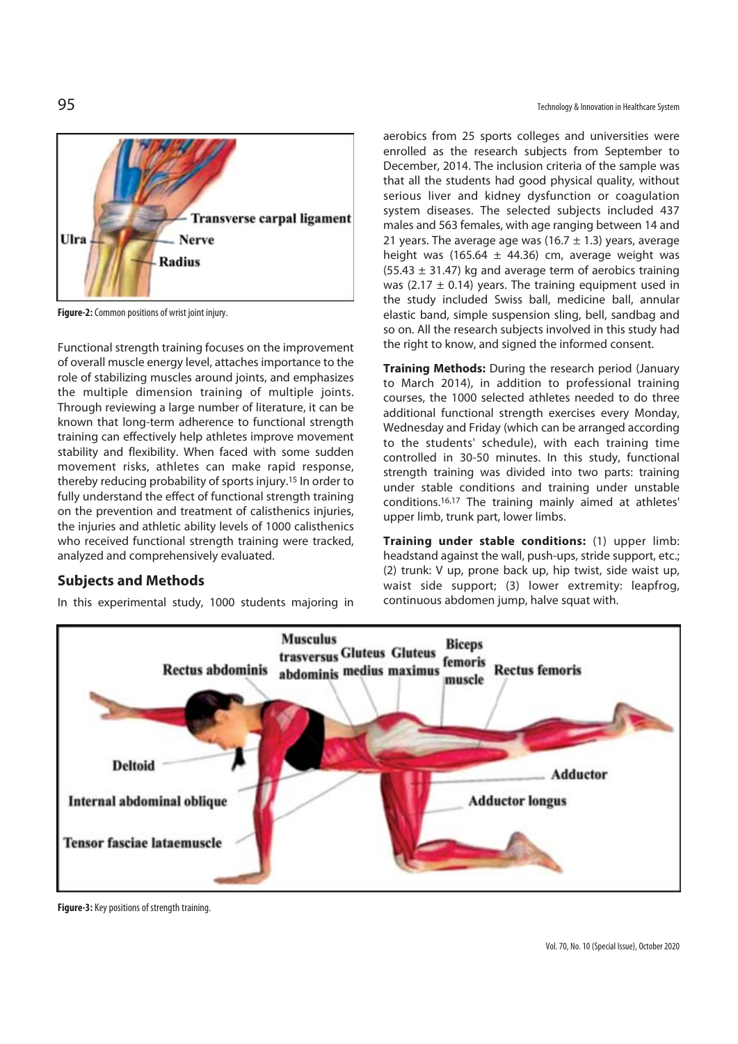

**Figure-2:** Common positions of wrist joint injury.

Functional strength training focuses on the improvement of overall muscle energy level, attaches importance to the role of stabilizing muscles around joints, and emphasizes the multiple dimension training of multiple joints. Through reviewing a large number of literature, it can be known that long-term adherence to functional strength training can effectively help athletes improve movement stability and flexibility. When faced with some sudden movement risks, athletes can make rapid response, thereby reducing probability of sports injury.15 In order to fully understand the effect of functional strength training on the prevention and treatment of calisthenics injuries, the injuries and athletic ability levels of 1000 calisthenics who received functional strength training were tracked, analyzed and comprehensively evaluated.

# **Subjects and Methods**

In this experimental study, 1000 students majoring in

95 Technology & Innovation in Healthcare System

aerobics from 25 sports colleges and universities were enrolled as the research subjects from September to December, 2014. The inclusion criteria of the sample was that all the students had good physical quality, without serious liver and kidney dysfunction or coagulation system diseases. The selected subjects included 437 males and 563 females, with age ranging between 14 and 21 years. The average age was (16.7  $\pm$  1.3) years, average height was (165.64  $\pm$  44.36) cm, average weight was  $(55.43 \pm 31.47)$  kg and average term of aerobics training was (2.17  $\pm$  0.14) years. The training equipment used in the study included Swiss ball, medicine ball, annular elastic band, simple suspension sling, bell, sandbag and so on. All the research subjects involved in this study had the right to know, and signed the informed consent.

**Training Methods:** During the research period (January to March 2014), in addition to professional training courses, the 1000 selected athletes needed to do three additional functional strength exercises every Monday, Wednesday and Friday (which can be arranged according to the students' schedule), with each training time controlled in 30-50 minutes. In this study, functional strength training was divided into two parts: training under stable conditions and training under unstable conditions.16,17 The training mainly aimed at athletes' upper limb, trunk part, lower limbs.

**Training under stable conditions:** (1) upper limb: headstand against the wall, push-ups, stride support, etc.; (2) trunk: V up, prone back up, hip twist, side waist up, waist side support; (3) lower extremity: leapfrog, continuous abdomen jump, halve squat with.



**Figure-3:** Key positions of strength training.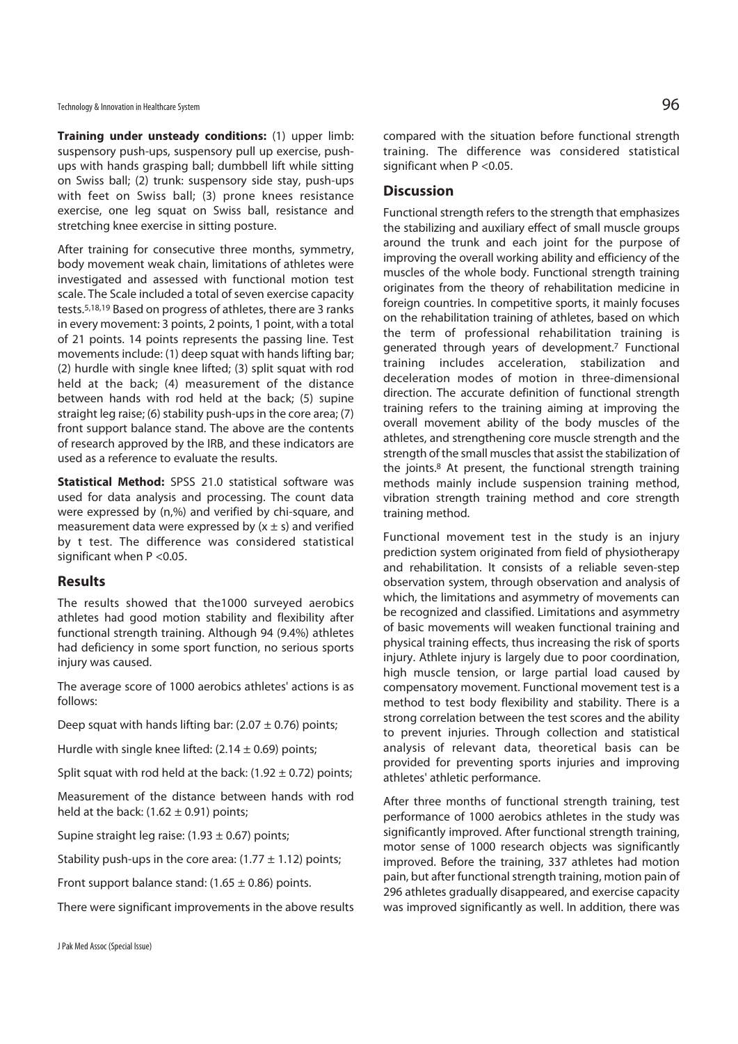**Training under unsteady conditions:** (1) upper limb: suspensory push-ups, suspensory pull up exercise, pushups with hands grasping ball; dumbbell lift while sitting on Swiss ball; (2) trunk: suspensory side stay, push-ups with feet on Swiss ball; (3) prone knees resistance exercise, one leg squat on Swiss ball, resistance and stretching knee exercise in sitting posture.

After training for consecutive three months, symmetry, body movement weak chain, limitations of athletes were investigated and assessed with functional motion test scale. The Scale included a total of seven exercise capacity tests.5,18,19 Based on progress of athletes, there are 3 ranks in every movement: 3 points, 2 points, 1 point, with a total of 21 points. 14 points represents the passing line. Test movements include: (1) deep squat with hands lifting bar; (2) hurdle with single knee lifted; (3) split squat with rod held at the back; (4) measurement of the distance between hands with rod held at the back; (5) supine straight leg raise; (6) stability push-ups in the core area; (7) front support balance stand. The above are the contents of research approved by the IRB, and these indicators are used as a reference to evaluate the results.

**Statistical Method:** SPSS 21.0 statistical software was used for data analysis and processing. The count data were expressed by (n,%) and verified by chi-square, and measurement data were expressed by  $(x \pm s)$  and verified by t test. The difference was considered statistical significant when P < 0.05.

#### **Results**

The results showed that the1000 surveyed aerobics athletes had good motion stability and flexibility after functional strength training. Although 94 (9.4%) athletes had deficiency in some sport function, no serious sports injury was caused.

The average score of 1000 aerobics athletes' actions is as follows:

Deep squat with hands lifting bar:  $(2.07 \pm 0.76)$  points;

Hurdle with single knee lifted:  $(2.14 \pm 0.69)$  points;

Split squat with rod held at the back:  $(1.92 \pm 0.72)$  points;

Measurement of the distance between hands with rod held at the back:  $(1.62 \pm 0.91)$  points;

Supine straight leg raise:  $(1.93 \pm 0.67)$  points;

Stability push-ups in the core area:  $(1.77 \pm 1.12)$  points;

Front support balance stand:  $(1.65 \pm 0.86)$  points.

There were significant improvements in the above results

compared with the situation before functional strength training. The difference was considered statistical significant when P <0.05.

#### **Discussion**

Functional strength refers to the strength that emphasizes the stabilizing and auxiliary effect of small muscle groups around the trunk and each joint for the purpose of improving the overall working ability and efficiency of the muscles of the whole body. Functional strength training originates from the theory of rehabilitation medicine in foreign countries. In competitive sports, it mainly focuses on the rehabilitation training of athletes, based on which the term of professional rehabilitation training is generated through years of development.7 Functional training includes acceleration, stabilization and deceleration modes of motion in three-dimensional direction. The accurate definition of functional strength training refers to the training aiming at improving the overall movement ability of the body muscles of the athletes, and strengthening core muscle strength and the strength of the small muscles that assist the stabilization of the joints.8 At present, the functional strength training methods mainly include suspension training method, vibration strength training method and core strength training method.

Functional movement test in the study is an injury prediction system originated from field of physiotherapy and rehabilitation. It consists of a reliable seven-step observation system, through observation and analysis of which, the limitations and asymmetry of movements can be recognized and classified. Limitations and asymmetry of basic movements will weaken functional training and physical training effects, thus increasing the risk of sports injury. Athlete injury is largely due to poor coordination, high muscle tension, or large partial load caused by compensatory movement. Functional movement test is a method to test body flexibility and stability. There is a strong correlation between the test scores and the ability to prevent injuries. Through collection and statistical analysis of relevant data, theoretical basis can be provided for preventing sports injuries and improving athletes' athletic performance.

After three months of functional strength training, test performance of 1000 aerobics athletes in the study was significantly improved. After functional strength training, motor sense of 1000 research objects was significantly improved. Before the training, 337 athletes had motion pain, but after functional strength training, motion pain of 296 athletes gradually disappeared, and exercise capacity was improved significantly as well. In addition, there was